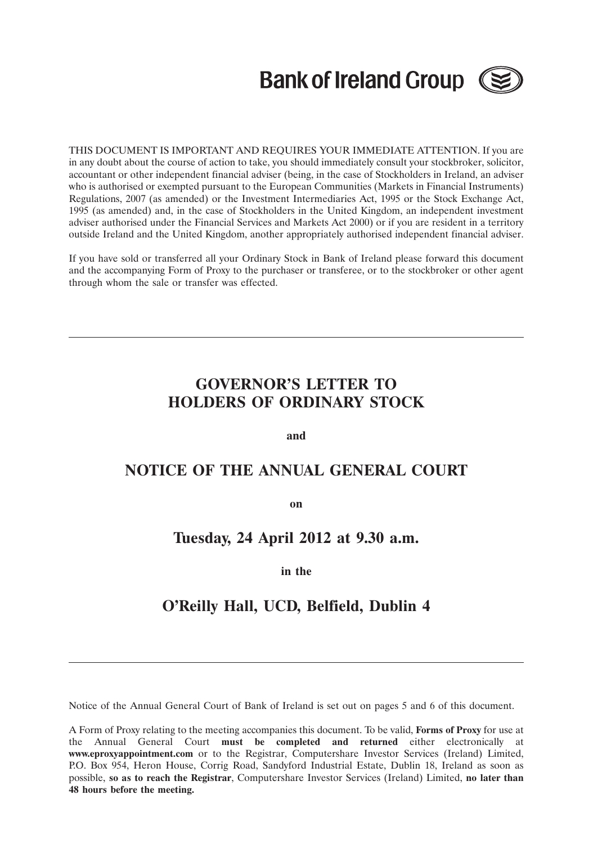# **Bank of Ireland Group (**



THIS DOCUMENT IS IMPORTANT AND REQUIRES YOUR IMMEDIATE ATTENTION. If you are in any doubt about the course of action to take, you should immediately consult your stockbroker, solicitor, accountant or other independent financial adviser (being, in the case of Stockholders in Ireland, an adviser who is authorised or exempted pursuant to the European Communities (Markets in Financial Instruments) Regulations, 2007 (as amended) or the Investment Intermediaries Act, 1995 or the Stock Exchange Act, 1995 (as amended) and, in the case of Stockholders in the United Kingdom, an independent investment adviser authorised under the Financial Services and Markets Act 2000) or if you are resident in a territory outside Ireland and the United Kingdom, another appropriately authorised independent financial adviser.

If you have sold or transferred all your Ordinary Stock in Bank of Ireland please forward this document and the accompanying Form of Proxy to the purchaser or transferee, or to the stockbroker or other agent through whom the sale or transfer was effected.

## **GOVERNOR'S LETTER TO HOLDERS OF ORDINARY STOCK**

**and**

### **NOTICE OF THE ANNUAL GENERAL COURT**

**on**

### **Tuesday, 24 April 2012 at 9.30 a.m.**

### **in the**

### **O'Reilly Hall, UCD, Belfield, Dublin 4**

Notice of the Annual General Court of Bank of Ireland is set out on pages 5 and 6 of this document.

A Form of Proxy relating to the meeting accompanies this document. To be valid, **Forms of Proxy** for use at the Annual General Court **must be completed and returned** either electronically at **www.eproxyappointment.com** or to the Registrar, Computershare Investor Services (Ireland) Limited, P.O. Box 954, Heron House, Corrig Road, Sandyford Industrial Estate, Dublin 18, Ireland as soon as possible, **so as to reach the Registrar**, Computershare Investor Services (Ireland) Limited, **no later than 48 hours before the meeting.**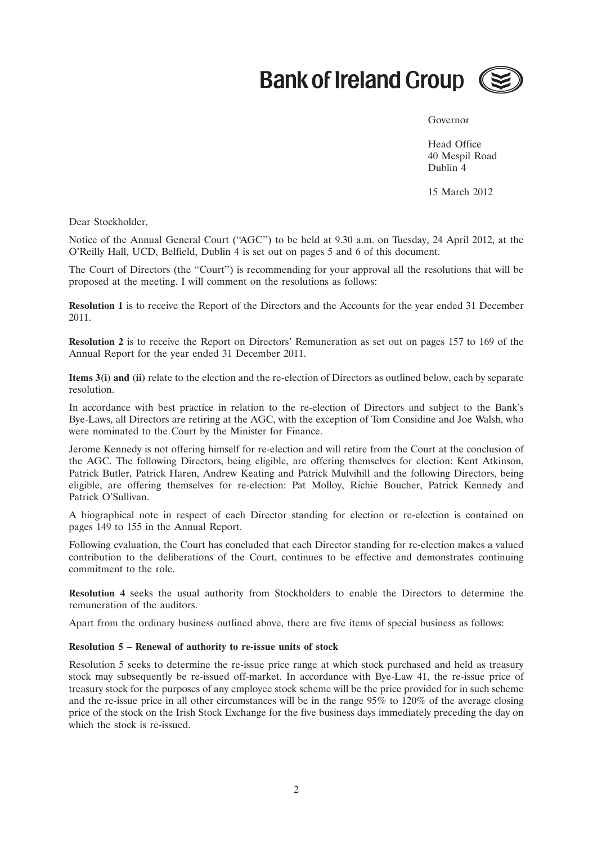

#### Governor

Head Office 40 Mespil Road Dublin 4

15 March 2012

Dear Stockholder,

Notice of the Annual General Court (''AGC'') to be held at 9.30 a.m. on Tuesday, 24 April 2012, at the O'Reilly Hall, UCD, Belfield, Dublin 4 is set out on pages 5 and 6 of this document.

The Court of Directors (the ''Court'') is recommending for your approval all the resolutions that will be proposed at the meeting. I will comment on the resolutions as follows:

**Resolution 1** is to receive the Report of the Directors and the Accounts for the year ended 31 December 2011.

**Resolution 2** is to receive the Report on Directors' Remuneration as set out on pages 157 to 169 of the Annual Report for the year ended 31 December 2011.

**Items 3(i) and (ii)** relate to the election and the re-election of Directors as outlined below, each by separate resolution.

In accordance with best practice in relation to the re-election of Directors and subject to the Bank's Bye-Laws, all Directors are retiring at the AGC, with the exception of Tom Considine and Joe Walsh, who were nominated to the Court by the Minister for Finance.

Jerome Kennedy is not offering himself for re-election and will retire from the Court at the conclusion of the AGC. The following Directors, being eligible, are offering themselves for election: Kent Atkinson, Patrick Butler, Patrick Haren, Andrew Keating and Patrick Mulvihill and the following Directors, being eligible, are offering themselves for re-election: Pat Molloy, Richie Boucher, Patrick Kennedy and Patrick O'Sullivan.

A biographical note in respect of each Director standing for election or re-election is contained on pages 149 to 155 in the Annual Report.

Following evaluation, the Court has concluded that each Director standing for re-election makes a valued contribution to the deliberations of the Court, continues to be effective and demonstrates continuing commitment to the role.

**Resolution 4** seeks the usual authority from Stockholders to enable the Directors to determine the remuneration of the auditors.

Apart from the ordinary business outlined above, there are five items of special business as follows:

#### **Resolution 5 – Renewal of authority to re-issue units of stock**

Resolution 5 seeks to determine the re-issue price range at which stock purchased and held as treasury stock may subsequently be re-issued off-market. In accordance with Bye-Law 41, the re-issue price of treasury stock for the purposes of any employee stock scheme will be the price provided for in such scheme and the re-issue price in all other circumstances will be in the range 95% to 120% of the average closing price of the stock on the Irish Stock Exchange for the five business days immediately preceding the day on which the stock is re-issued.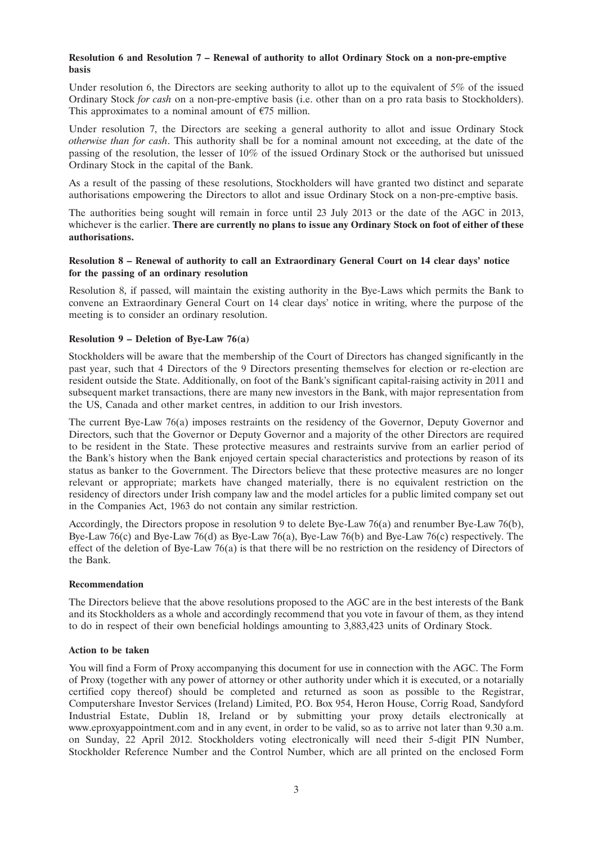#### **Resolution 6 and Resolution 7 – Renewal of authority to allot Ordinary Stock on a non-pre-emptive basis**

Under resolution 6, the Directors are seeking authority to allot up to the equivalent of 5% of the issued Ordinary Stock *for cash* on a non-pre-emptive basis (i.e. other than on a pro rata basis to Stockholders). This approximates to a nominal amount of  $E$ 75 million.

Under resolution 7, the Directors are seeking a general authority to allot and issue Ordinary Stock *otherwise than for cash*. This authority shall be for a nominal amount not exceeding, at the date of the passing of the resolution, the lesser of 10% of the issued Ordinary Stock or the authorised but unissued Ordinary Stock in the capital of the Bank.

As a result of the passing of these resolutions, Stockholders will have granted two distinct and separate authorisations empowering the Directors to allot and issue Ordinary Stock on a non-pre-emptive basis.

The authorities being sought will remain in force until 23 July 2013 or the date of the AGC in 2013, whichever is the earlier. **There are currently no plans to issue any Ordinary Stock on foot of either of these authorisations.**

#### **Resolution 8 – Renewal of authority to call an Extraordinary General Court on 14 clear days' notice for the passing of an ordinary resolution**

Resolution 8, if passed, will maintain the existing authority in the Bye-Laws which permits the Bank to convene an Extraordinary General Court on 14 clear days' notice in writing, where the purpose of the meeting is to consider an ordinary resolution.

#### **Resolution 9 – Deletion of Bye-Law 76(a)**

Stockholders will be aware that the membership of the Court of Directors has changed significantly in the past year, such that 4 Directors of the 9 Directors presenting themselves for election or re-election are resident outside the State. Additionally, on foot of the Bank's significant capital-raising activity in 2011 and subsequent market transactions, there are many new investors in the Bank, with major representation from the US, Canada and other market centres, in addition to our Irish investors.

The current Bye-Law 76(a) imposes restraints on the residency of the Governor, Deputy Governor and Directors, such that the Governor or Deputy Governor and a majority of the other Directors are required to be resident in the State. These protective measures and restraints survive from an earlier period of the Bank's history when the Bank enjoyed certain special characteristics and protections by reason of its status as banker to the Government. The Directors believe that these protective measures are no longer relevant or appropriate; markets have changed materially, there is no equivalent restriction on the residency of directors under Irish company law and the model articles for a public limited company set out in the Companies Act, 1963 do not contain any similar restriction.

Accordingly, the Directors propose in resolution 9 to delete Bye-Law 76(a) and renumber Bye-Law 76(b), Bye-Law 76(c) and Bye-Law 76(d) as Bye-Law 76(a), Bye-Law 76(b) and Bye-Law 76(c) respectively. The effect of the deletion of Bye-Law 76(a) is that there will be no restriction on the residency of Directors of the Bank.

#### **Recommendation**

The Directors believe that the above resolutions proposed to the AGC are in the best interests of the Bank and its Stockholders as a whole and accordingly recommend that you vote in favour of them, as they intend to do in respect of their own beneficial holdings amounting to 3,883,423 units of Ordinary Stock.

#### **Action to be taken**

You will find a Form of Proxy accompanying this document for use in connection with the AGC. The Form of Proxy (together with any power of attorney or other authority under which it is executed, or a notarially certified copy thereof) should be completed and returned as soon as possible to the Registrar, Computershare Investor Services (Ireland) Limited, P.O. Box 954, Heron House, Corrig Road, Sandyford Industrial Estate, Dublin 18, Ireland or by submitting your proxy details electronically at www.eproxyappointment.com and in any event, in order to be valid, so as to arrive not later than 9.30 a.m. on Sunday, 22 April 2012. Stockholders voting electronically will need their 5-digit PIN Number, Stockholder Reference Number and the Control Number, which are all printed on the enclosed Form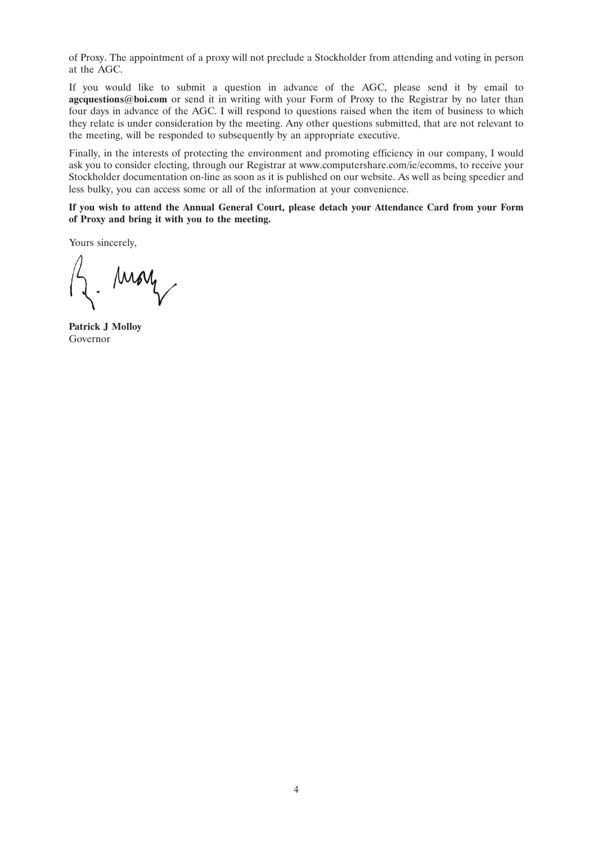of Proxy. The appointment of a proxy will not preclude a Stockholder from attending and voting in person at the AGC.

If you would like to submit a question in advance of the AGC, please send it by email to **agcquestions@boi.com** or send it in writing with your Form of Proxy to the Registrar by no later than four days in advance of the AGC. I will respond to questions raised when the item of business to which they relate is under consideration by the meeting. Any other questions submitted, that are not relevant to the meeting, will be responded to subsequently by an appropriate executive.

Finally, in the interests of protecting the environment and promoting efficiency in our company, I would ask you to consider electing, through our Registrar at www.computershare.com/ie/ecomms, to receive your Stockholder documentation on-line as soon as it is published on our website. As well as being speedier and less bulky, you can access some or all of the information at your convenience.

**If you wish to attend the Annual General Court, please detach your Attendance Card from your Form of Proxy and bring it with you to the meeting.**

Yours sincerely,

Moy

**Patrick J Molloy** Governor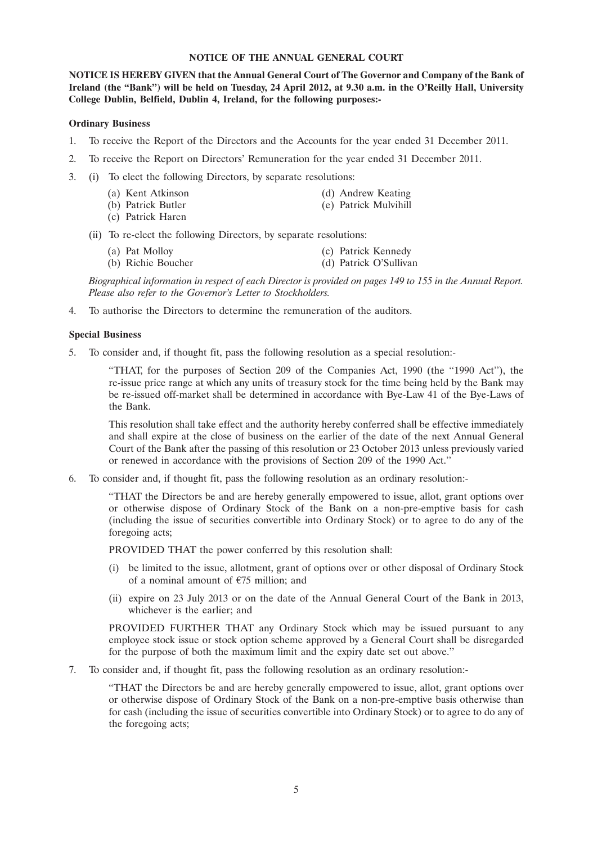#### **NOTICE OF THE ANNUAL GENERAL COURT**

**NOTICE IS HEREBY GIVEN that the Annual General Court of The Governor and Company of the Bank of Ireland (the ''Bank'') will be held on Tuesday, 24 April 2012, at 9.30 a.m. in the O'Reilly Hall, University College Dublin, Belfield, Dublin 4, Ireland, for the following purposes:-**

#### **Ordinary Business**

- 1. To receive the Report of the Directors and the Accounts for the year ended 31 December 2011.
- 2. To receive the Report on Directors' Remuneration for the year ended 31 December 2011.
- 3. (i) To elect the following Directors, by separate resolutions:
	- (a) Kent Atkinson (d) Andrew Keating
	- (b) Patrick Butler (e) Patrick Mulvihill
	- (c) Patrick Haren
	- (ii) To re-elect the following Directors, by separate resolutions:
		- (a) Pat Molloy (b) Richie Boucher (c) Patrick Kennedy (c) Patrick Kennedy (d) Patrick O'Sulliva
			- (d) Patrick O'Sullivan

*Biographical information in respect of each Director is provided on pages 149 to 155 in the Annual Report. Please also refer to the Governor's Letter to Stockholders.*

4. To authorise the Directors to determine the remuneration of the auditors.

#### **Special Business**

5. To consider and, if thought fit, pass the following resolution as a special resolution:-

''THAT, for the purposes of Section 209 of the Companies Act, 1990 (the ''1990 Act''), the re-issue price range at which any units of treasury stock for the time being held by the Bank may be re-issued off-market shall be determined in accordance with Bye-Law 41 of the Bye-Laws of the Bank.

This resolution shall take effect and the authority hereby conferred shall be effective immediately and shall expire at the close of business on the earlier of the date of the next Annual General Court of the Bank after the passing of this resolution or 23 October 2013 unless previously varied or renewed in accordance with the provisions of Section 209 of the 1990 Act.''

6. To consider and, if thought fit, pass the following resolution as an ordinary resolution:-

''THAT the Directors be and are hereby generally empowered to issue, allot, grant options over or otherwise dispose of Ordinary Stock of the Bank on a non-pre-emptive basis for cash (including the issue of securities convertible into Ordinary Stock) or to agree to do any of the foregoing acts;

PROVIDED THAT the power conferred by this resolution shall:

- (i) be limited to the issue, allotment, grant of options over or other disposal of Ordinary Stock of a nominal amount of  $E$ 75 million; and
- (ii) expire on 23 July 2013 or on the date of the Annual General Court of the Bank in 2013, whichever is the earlier; and

PROVIDED FURTHER THAT any Ordinary Stock which may be issued pursuant to any employee stock issue or stock option scheme approved by a General Court shall be disregarded for the purpose of both the maximum limit and the expiry date set out above.''

7. To consider and, if thought fit, pass the following resolution as an ordinary resolution:-

''THAT the Directors be and are hereby generally empowered to issue, allot, grant options over or otherwise dispose of Ordinary Stock of the Bank on a non-pre-emptive basis otherwise than for cash (including the issue of securities convertible into Ordinary Stock) or to agree to do any of the foregoing acts;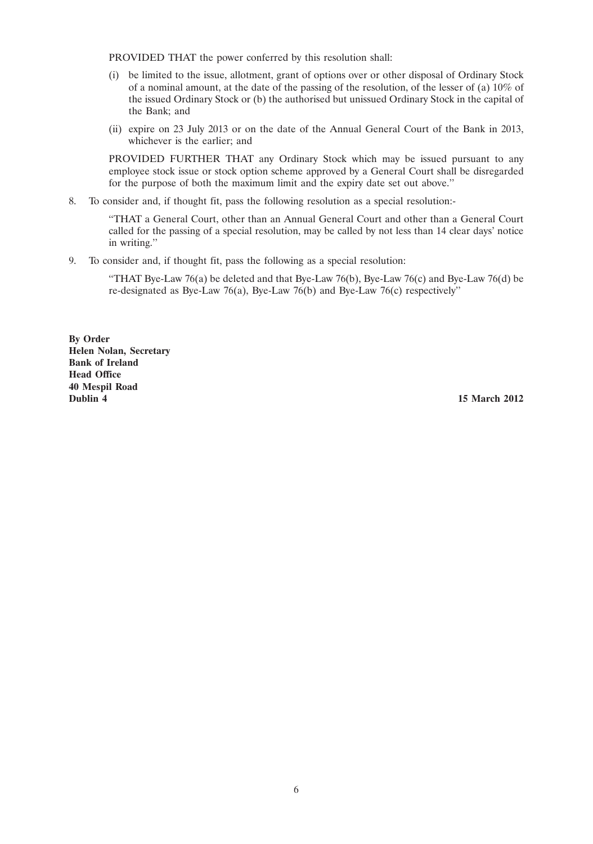PROVIDED THAT the power conferred by this resolution shall:

- (i) be limited to the issue, allotment, grant of options over or other disposal of Ordinary Stock of a nominal amount, at the date of the passing of the resolution, of the lesser of (a) 10% of the issued Ordinary Stock or (b) the authorised but unissued Ordinary Stock in the capital of the Bank; and
- (ii) expire on 23 July 2013 or on the date of the Annual General Court of the Bank in 2013, whichever is the earlier; and

PROVIDED FURTHER THAT any Ordinary Stock which may be issued pursuant to any employee stock issue or stock option scheme approved by a General Court shall be disregarded for the purpose of both the maximum limit and the expiry date set out above.''

8. To consider and, if thought fit, pass the following resolution as a special resolution:-

''THAT a General Court, other than an Annual General Court and other than a General Court called for the passing of a special resolution, may be called by not less than 14 clear days' notice in writing.''

9. To consider and, if thought fit, pass the following as a special resolution:

"THAT Bye-Law 76(a) be deleted and that Bye-Law 76(b), Bye-Law 76(c) and Bye-Law 76(d) be re-designated as Bye-Law 76(a), Bye-Law 76(b) and Bye-Law 76(c) respectively''

**By Order Helen Nolan, Secretary Bank of Ireland Head Office 40 Mespil Road**

**15 March 2012**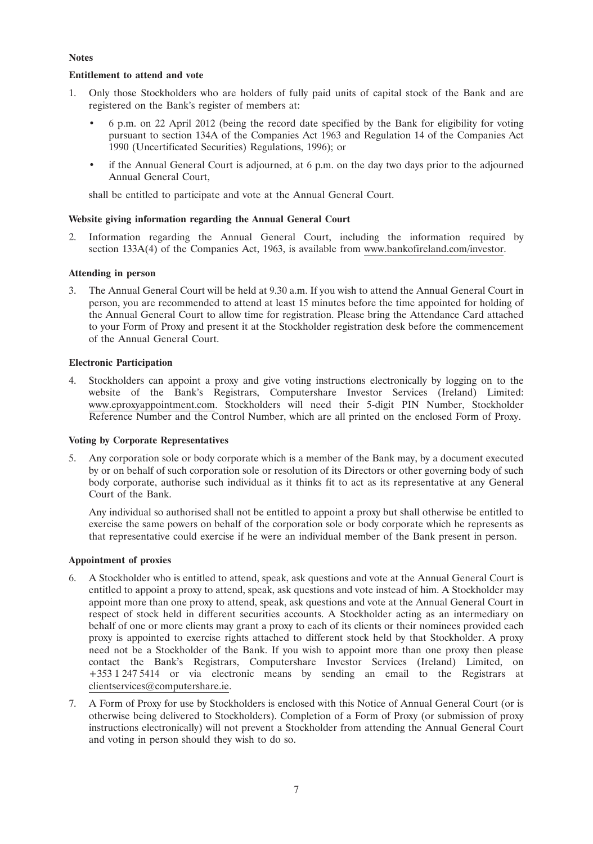#### **Notes**

#### **Entitlement to attend and vote**

- 1. Only those Stockholders who are holders of fully paid units of capital stock of the Bank and are registered on the Bank's register of members at:
	- 6 p.m. on 22 April 2012 (being the record date specified by the Bank for eligibility for voting pursuant to section 134A of the Companies Act 1963 and Regulation 14 of the Companies Act 1990 (Uncertificated Securities) Regulations, 1996); or
	- if the Annual General Court is adjourned, at 6 p.m. on the day two days prior to the adjourned Annual General Court,

shall be entitled to participate and vote at the Annual General Court.

#### **Website giving information regarding the Annual General Court**

2. Information regarding the Annual General Court, including the information required by section 133A(4) of the Companies Act, 1963, is available from www.bankofireland.com/investor.

#### **Attending in person**

3. The Annual General Court will be held at 9.30 a.m. If you wish to attend the Annual General Court in person, you are recommended to attend at least 15 minutes before the time appointed for holding of the Annual General Court to allow time for registration. Please bring the Attendance Card attached to your Form of Proxy and present it at the Stockholder registration desk before the commencement of the Annual General Court.

#### **Electronic Participation**

4. Stockholders can appoint a proxy and give voting instructions electronically by logging on to the website of the Bank's Registrars, Computershare Investor Services (Ireland) Limited: www.eproxyappointment.com. Stockholders will need their 5-digit PIN Number, Stockholder Reference Number and the Control Number, which are all printed on the enclosed Form of Proxy.

#### **Voting by Corporate Representatives**

5. Any corporation sole or body corporate which is a member of the Bank may, by a document executed by or on behalf of such corporation sole or resolution of its Directors or other governing body of such body corporate, authorise such individual as it thinks fit to act as its representative at any General Court of the Bank.

Any individual so authorised shall not be entitled to appoint a proxy but shall otherwise be entitled to exercise the same powers on behalf of the corporation sole or body corporate which he represents as that representative could exercise if he were an individual member of the Bank present in person.

#### **Appointment of proxies**

- 6. A Stockholder who is entitled to attend, speak, ask questions and vote at the Annual General Court is entitled to appoint a proxy to attend, speak, ask questions and vote instead of him. A Stockholder may appoint more than one proxy to attend, speak, ask questions and vote at the Annual General Court in respect of stock held in different securities accounts. A Stockholder acting as an intermediary on behalf of one or more clients may grant a proxy to each of its clients or their nominees provided each proxy is appointed to exercise rights attached to different stock held by that Stockholder. A proxy need not be a Stockholder of the Bank. If you wish to appoint more than one proxy then please contact the Bank's Registrars, Computershare Investor Services (Ireland) Limited, on +353 1 247 5414 or via electronic means by sending an email to the Registrars at clientservices@computershare.ie.
- 7. A Form of Proxy for use by Stockholders is enclosed with this Notice of Annual General Court (or is otherwise being delivered to Stockholders). Completion of a Form of Proxy (or submission of proxy instructions electronically) will not prevent a Stockholder from attending the Annual General Court and voting in person should they wish to do so.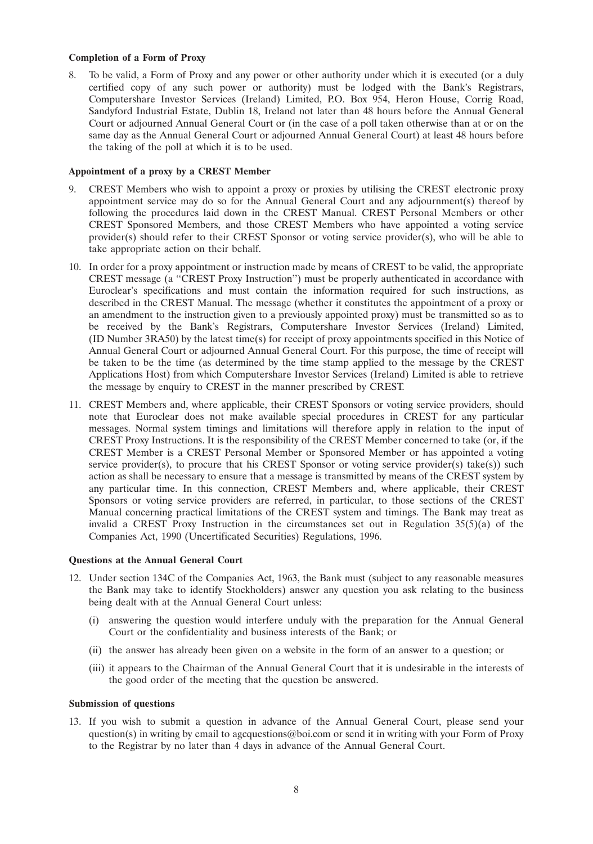#### **Completion of a Form of Proxy**

8. To be valid, a Form of Proxy and any power or other authority under which it is executed (or a duly certified copy of any such power or authority) must be lodged with the Bank's Registrars, Computershare Investor Services (Ireland) Limited, P.O. Box 954, Heron House, Corrig Road, Sandyford Industrial Estate, Dublin 18, Ireland not later than 48 hours before the Annual General Court or adjourned Annual General Court or (in the case of a poll taken otherwise than at or on the same day as the Annual General Court or adjourned Annual General Court) at least 48 hours before the taking of the poll at which it is to be used.

#### **Appointment of a proxy by a CREST Member**

- 9. CREST Members who wish to appoint a proxy or proxies by utilising the CREST electronic proxy appointment service may do so for the Annual General Court and any adjournment(s) thereof by following the procedures laid down in the CREST Manual. CREST Personal Members or other CREST Sponsored Members, and those CREST Members who have appointed a voting service provider(s) should refer to their CREST Sponsor or voting service provider(s), who will be able to take appropriate action on their behalf.
- 10. In order for a proxy appointment or instruction made by means of CREST to be valid, the appropriate CREST message (a ''CREST Proxy Instruction'') must be properly authenticated in accordance with Euroclear's specifications and must contain the information required for such instructions, as described in the CREST Manual. The message (whether it constitutes the appointment of a proxy or an amendment to the instruction given to a previously appointed proxy) must be transmitted so as to be received by the Bank's Registrars, Computershare Investor Services (Ireland) Limited, (ID Number 3RA50) by the latest time(s) for receipt of proxy appointments specified in this Notice of Annual General Court or adjourned Annual General Court. For this purpose, the time of receipt will be taken to be the time (as determined by the time stamp applied to the message by the CREST Applications Host) from which Computershare Investor Services (Ireland) Limited is able to retrieve the message by enquiry to CREST in the manner prescribed by CREST.
- 11. CREST Members and, where applicable, their CREST Sponsors or voting service providers, should note that Euroclear does not make available special procedures in CREST for any particular messages. Normal system timings and limitations will therefore apply in relation to the input of CREST Proxy Instructions. It is the responsibility of the CREST Member concerned to take (or, if the CREST Member is a CREST Personal Member or Sponsored Member or has appointed a voting service provider(s), to procure that his CREST Sponsor or voting service provider(s) take(s)) such action as shall be necessary to ensure that a message is transmitted by means of the CREST system by any particular time. In this connection, CREST Members and, where applicable, their CREST Sponsors or voting service providers are referred, in particular, to those sections of the CREST Manual concerning practical limitations of the CREST system and timings. The Bank may treat as invalid a CREST Proxy Instruction in the circumstances set out in Regulation  $35(5)(a)$  of the Companies Act, 1990 (Uncertificated Securities) Regulations, 1996.

#### **Questions at the Annual General Court**

- 12. Under section 134C of the Companies Act, 1963, the Bank must (subject to any reasonable measures the Bank may take to identify Stockholders) answer any question you ask relating to the business being dealt with at the Annual General Court unless:
	- (i) answering the question would interfere unduly with the preparation for the Annual General Court or the confidentiality and business interests of the Bank; or
	- (ii) the answer has already been given on a website in the form of an answer to a question; or
	- (iii) it appears to the Chairman of the Annual General Court that it is undesirable in the interests of the good order of the meeting that the question be answered.

#### **Submission of questions**

13. If you wish to submit a question in advance of the Annual General Court, please send your question(s) in writing by email to agcquestions@boi.com or send it in writing with your Form of Proxy to the Registrar by no later than 4 days in advance of the Annual General Court.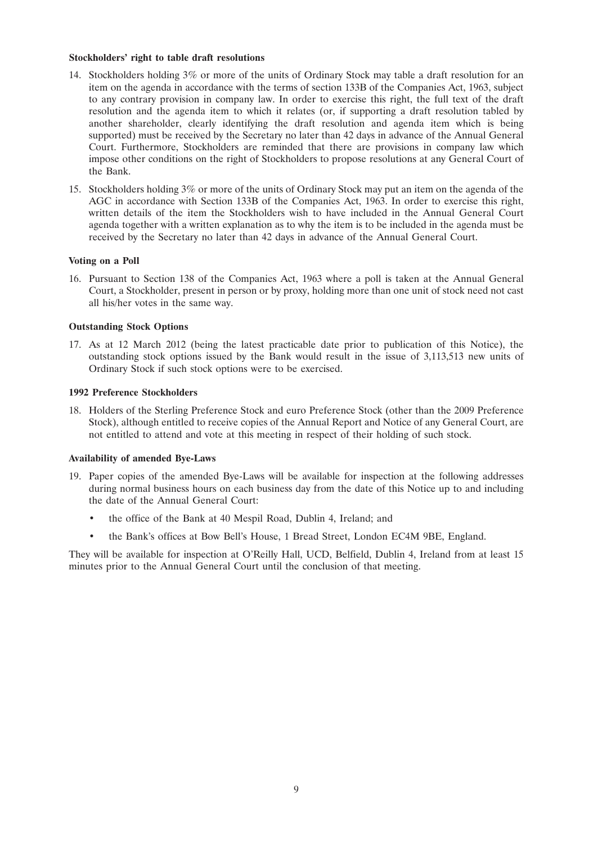#### **Stockholders' right to table draft resolutions**

- 14. Stockholders holding 3% or more of the units of Ordinary Stock may table a draft resolution for an item on the agenda in accordance with the terms of section 133B of the Companies Act, 1963, subject to any contrary provision in company law. In order to exercise this right, the full text of the draft resolution and the agenda item to which it relates (or, if supporting a draft resolution tabled by another shareholder, clearly identifying the draft resolution and agenda item which is being supported) must be received by the Secretary no later than 42 days in advance of the Annual General Court. Furthermore, Stockholders are reminded that there are provisions in company law which impose other conditions on the right of Stockholders to propose resolutions at any General Court of the Bank.
- 15. Stockholders holding 3% or more of the units of Ordinary Stock may put an item on the agenda of the AGC in accordance with Section 133B of the Companies Act, 1963. In order to exercise this right, written details of the item the Stockholders wish to have included in the Annual General Court agenda together with a written explanation as to why the item is to be included in the agenda must be received by the Secretary no later than 42 days in advance of the Annual General Court.

#### **Voting on a Poll**

16. Pursuant to Section 138 of the Companies Act, 1963 where a poll is taken at the Annual General Court, a Stockholder, present in person or by proxy, holding more than one unit of stock need not cast all his/her votes in the same way.

#### **Outstanding Stock Options**

17. As at 12 March 2012 (being the latest practicable date prior to publication of this Notice), the outstanding stock options issued by the Bank would result in the issue of 3,113,513 new units of Ordinary Stock if such stock options were to be exercised.

#### **1992 Preference Stockholders**

18. Holders of the Sterling Preference Stock and euro Preference Stock (other than the 2009 Preference Stock), although entitled to receive copies of the Annual Report and Notice of any General Court, are not entitled to attend and vote at this meeting in respect of their holding of such stock.

#### **Availability of amended Bye-Laws**

- 19. Paper copies of the amended Bye-Laws will be available for inspection at the following addresses during normal business hours on each business day from the date of this Notice up to and including the date of the Annual General Court:
	- the office of the Bank at 40 Mespil Road, Dublin 4, Ireland; and
	- the Bank's offices at Bow Bell's House, 1 Bread Street, London EC4M 9BE, England.

They will be available for inspection at O'Reilly Hall, UCD, Belfield, Dublin 4, Ireland from at least 15 minutes prior to the Annual General Court until the conclusion of that meeting.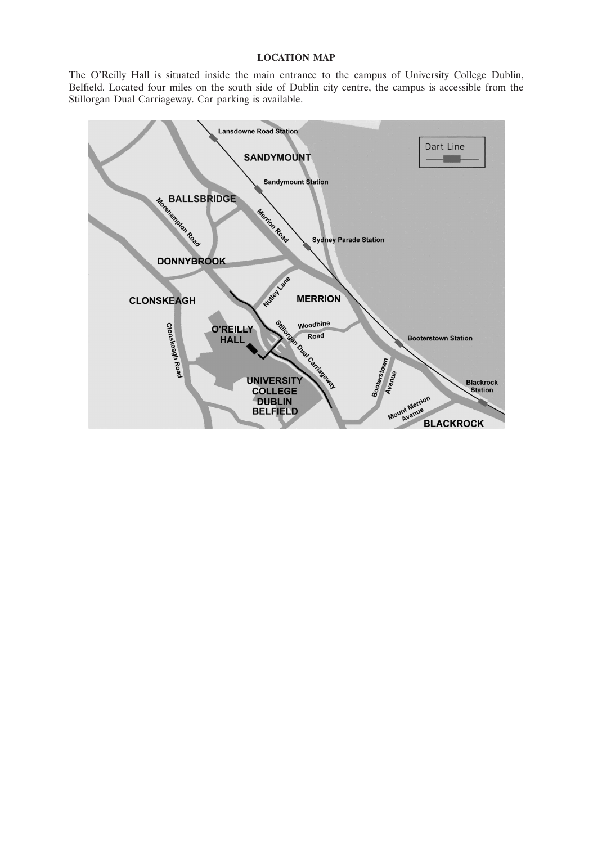#### **LOCATION MAP**

The O'Reilly Hall is situated inside the main entrance to the campus of University College Dublin, Belfield. Located four miles on the south side of Dublin city centre, the campus is accessible from the Stillorgan Dual Carriageway. Car parking is available.